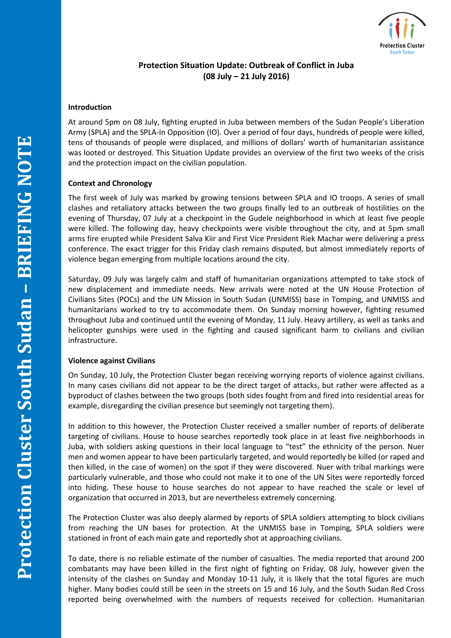

# **Protection Situation Update: Outbreak of Conflict in Juba (08 July – 21 July 2016)**

## **Introduction**

At around 5pm on 08 July, fighting erupted in Juba between members of the Sudan People's Liberation Army (SPLA) and the SPLA-In Opposition (IO). Over a period of four days, hundreds of people were killed, tens of thousands of people were displaced, and millions of dollars' worth of humanitarian assistance was looted or destroyed. This Situation Update provides an overview of the first two weeks of the crisis and the protection impact on the civilian population.

## **Context and Chronology**

The first week of July was marked by growing tensions between SPLA and IO troops. A series of small clashes and retaliatory attacks between the two groups finally led to an outbreak of hostilities on the evening of Thursday, 07 July at a checkpoint in the Gudele neighborhood in which at least five people were killed. The following day, heavy checkpoints were visible throughout the city, and at 5pm small arms fire erupted while President Salva Kiir and First Vice President Riek Machar were delivering a press conference. The exact trigger for this Friday clash remains disputed, but almost immediately reports of violence began emerging from multiple locations around the city.

Saturday, 09 July was largely calm and staff of humanitarian organizations attempted to take stock of new displacement and immediate needs. New arrivals were noted at the UN House Protection of Civilians Sites (POCs) and the UN Mission in South Sudan (UNMISS) base in Tomping, and UNMISS and humanitarians worked to try to accommodate them. On Sunday morning however, fighting resumed throughout Juba and continued until the evening of Monday, 11 July. Heavy artillery, as well as tanks and helicopter gunships were used in the fighting and caused significant harm to civilians and civilian infrastructure.

#### **Violence against Civilians**

On Sunday, 10 July, the Protection Cluster began receiving worrying reports of violence against civilians. In many cases civilians did not appear to be the direct target of attacks, but rather were affected as a byproduct of clashes between the two groups (both sides fought from and fired into residential areas for example, disregarding the civilian presence but seemingly not targeting them).

In addition to this however, the Protection Cluster received a smaller number of reports of deliberate targeting of civilians. House to house searches reportedly took place in at least five neighborhoods in Juba, with soldiers asking questions in their local language to "test" the ethnicity of the person. Nuer men and women appear to have been particularly targeted, and would reportedly be killed (or raped and then killed, in the case of women) on the spot if they were discovered. Nuer with tribal markings were particularly vulnerable, and those who could not make it to one of the UN Sites were reportedly forced into hiding. These house to house searches do not appear to have reached the scale or level of organization that occurred in 2013, but are nevertheless extremely concerning.

The Protection Cluster was also deeply alarmed by reports of SPLA soldiers attempting to block civilians from reaching the UN bases for protection. At the UNMISS base in Tomping, SPLA soldiers were stationed in front of each main gate and reportedly shot at approaching civilians.

To date, there is no reliable estimate of the number of casualties. The media reported that around 200 combatants may have been killed in the first night of fighting on Friday, 08 July, however given the intensity of the clashes on Sunday and Monday 10-11 July, it is likely that the total figures are much higher. Many bodies could still be seen in the streets on 15 and 16 July, and the South Sudan Red Cross reported being overwhelmed with the numbers of requests received for collection. Humanitarian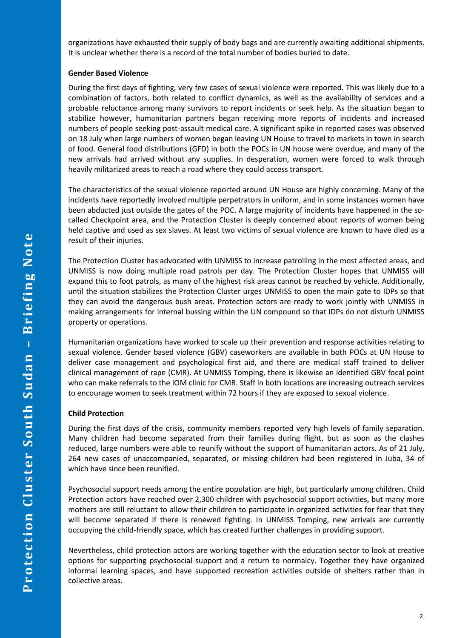organizations have exhausted their supply of body bags and are currently awaiting additional shipments. It is unclear whether there is a record of the total number of bodies buried to date.

## **Gender Based Violence**

During the first days of fighting, very few cases of sexual violence were reported. This was likely due to a combination of factors, both related to conflict dynamics, as well as the availability of services and a probable reluctance among many survivors to report incidents or seek help. As the situation began to stabilize however, humanitarian partners began receiving more reports of incidents and increased numbers of people seeking post-assault medical care. A significant spike in reported cases was observed on 18 July when large numbers of women began leaving UN House to travel to markets in town in search of food. General food distributions (GFD) in both the POCs in UN house were overdue, and many of the new arrivals had arrived without any supplies. In desperation, women were forced to walk through heavily militarized areas to reach a road where they could access transport.

The characteristics of the sexual violence reported around UN House are highly concerning. Many of the incidents have reportedly involved multiple perpetrators in uniform, and in some instances women have been abducted just outside the gates of the POC. A large majority of incidents have happened in the socalled Checkpoint area, and the Protection Cluster is deeply concerned about reports of women being held captive and used as sex slaves. At least two victims of sexual violence are known to have died as a result of their injuries.

The Protection Cluster has advocated with UNMISS to increase patrolling in the most affected areas, and UNMISS is now doing multiple road patrols per day. The Protection Cluster hopes that UNMISS will expand this to foot patrols, as many of the highest risk areas cannot be reached by vehicle. Additionally, until the situation stabilizes the Protection Cluster urges UNMISS to open the main gate to IDPs so that they can avoid the dangerous bush areas. Protection actors are ready to work jointly with UNMISS in making arrangements for internal bussing within the UN compound so that IDPs do not disturb UNMISS property or operations.

Humanitarian organizations have worked to scale up their prevention and response activities relating to sexual violence. Gender based violence (GBV) caseworkers are available in both POCs at UN House to deliver case management and psychological first aid, and there are medical staff trained to deliver clinical management of rape (CMR). At UNMISS Tomping, there is likewise an identified GBV focal point who can make referrals to the IOM clinic for CMR. Staff in both locations are increasing outreach services to encourage women to seek treatment within 72 hours if they are exposed to sexual violence.

# **Child Protection**

During the first days of the crisis, community members reported very high levels of family separation. Many children had become separated from their families during flight, but as soon as the clashes reduced, large numbers were able to reunify without the support of humanitarian actors. As of 21 July, 264 new cases of unaccompanied, separated, or missing children had been registered in Juba, 34 of which have since been reunified.

Psychosocial support needs among the entire population are high, but particularly among children. Child Protection actors have reached over 2,300 children with psychosocial support activities, but many more mothers are still reluctant to allow their children to participate in organized activities for fear that they will become separated if there is renewed fighting. In UNMISS Tomping, new arrivals are currently occupying the child-friendly space, which has created further challenges in providing support.

Nevertheless, child protection actors are working together with the education sector to look at creative options for supporting psychosocial support and a return to normalcy. Together they have organized informal learning spaces, and have supported recreation activities outside of shelters rather than in collective areas.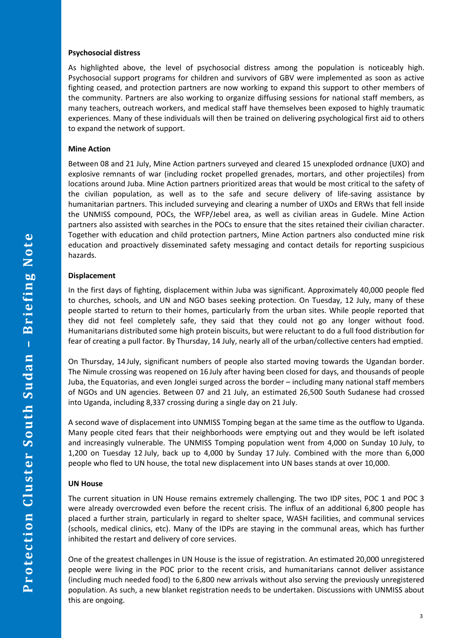#### **Psychosocial distress**

As highlighted above, the level of psychosocial distress among the population is noticeably high. Psychosocial support programs for children and survivors of GBV were implemented as soon as active fighting ceased, and protection partners are now working to expand this support to other members of the community. Partners are also working to organize diffusing sessions for national staff members, as many teachers, outreach workers, and medical staff have themselves been exposed to highly traumatic experiences. Many of these individuals will then be trained on delivering psychological first aid to others to expand the network of support.

## **Mine Action**

Between 08 and 21 July, Mine Action partners surveyed and cleared 15 unexploded ordnance (UXO) and explosive remnants of war (including rocket propelled grenades, mortars, and other projectiles) from locations around Juba. Mine Action partners prioritized areas that would be most critical to the safety of the civilian population, as well as to the safe and secure delivery of life-saving assistance by humanitarian partners. This included surveying and clearing a number of UXOs and ERWs that fell inside the UNMISS compound, POCs, the WFP/Jebel area, as well as civilian areas in Gudele. Mine Action partners also assisted with searches in the POCs to ensure that the sites retained their civilian character. Together with education and child protection partners, Mine Action partners also conducted mine risk education and proactively disseminated safety messaging and contact details for reporting suspicious hazards.

# **Displacement**

In the first days of fighting, displacement within Juba was significant. Approximately 40,000 people fled to churches, schools, and UN and NGO bases seeking protection. On Tuesday, 12 July, many of these people started to return to their homes, particularly from the urban sites. While people reported that they did not feel completely safe, they said that they could not go any longer without food. Humanitarians distributed some high protein biscuits, but were reluctant to do a full food distribution for fear of creating a pull factor. By Thursday, 14 July, nearly all of the urban/collective centers had emptied.

On Thursday, 14 July, significant numbers of people also started moving towards the Ugandan border. The Nimule crossing was reopened on 16 July after having been closed for days, and thousands of people Juba, the Equatorias, and even Jonglei surged across the border – including many national staff members of NGOs and UN agencies. Between 07 and 21 July, an estimated 26,500 South Sudanese had crossed into Uganda, including 8,337 crossing during a single day on 21 July.

A second wave of displacement into UNMISS Tomping began at the same time as the outflow to Uganda. Many people cited fears that their neighborhoods were emptying out and they would be left isolated and increasingly vulnerable. The UNMISS Tomping population went from 4,000 on Sunday 10 July, to 1,200 on Tuesday 12 July, back up to 4,000 by Sunday 17 July. Combined with the more than 6,000 people who fled to UN house, the total new displacement into UN bases stands at over 10,000.

# **UN House**

The current situation in UN House remains extremely challenging. The two IDP sites, POC 1 and POC 3 were already overcrowded even before the recent crisis. The influx of an additional 6,800 people has placed a further strain, particularly in regard to shelter space, WASH facilities, and communal services (schools, medical clinics, etc). Many of the IDPs are staying in the communal areas, which has further inhibited the restart and delivery of core services.

One of the greatest challenges in UN House is the issue of registration. An estimated 20,000 unregistered people were living in the POC prior to the recent crisis, and humanitarians cannot deliver assistance (including much needed food) to the 6,800 new arrivals without also serving the previously unregistered population. As such, a new blanket registration needs to be undertaken. Discussions with UNMISS about this are ongoing.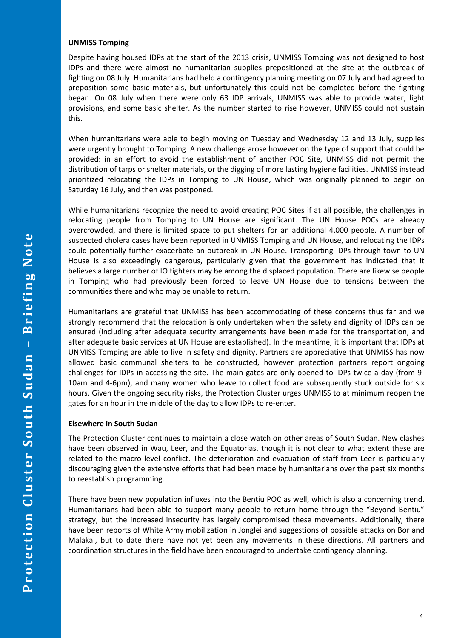### **UNMISS Tomping**

Despite having housed IDPs at the start of the 2013 crisis, UNMISS Tomping was not designed to host IDPs and there were almost no humanitarian supplies prepositioned at the site at the outbreak of fighting on 08 July. Humanitarians had held a contingency planning meeting on 07 July and had agreed to preposition some basic materials, but unfortunately this could not be completed before the fighting began. On 08 July when there were only 63 IDP arrivals, UNMISS was able to provide water, light provisions, and some basic shelter. As the number started to rise however, UNMISS could not sustain this.

When humanitarians were able to begin moving on Tuesday and Wednesday 12 and 13 July, supplies were urgently brought to Tomping. A new challenge arose however on the type of support that could be provided: in an effort to avoid the establishment of another POC Site, UNMISS did not permit the distribution of tarps or shelter materials, or the digging of more lasting hygiene facilities. UNMISS instead prioritized relocating the IDPs in Tomping to UN House, which was originally planned to begin on Saturday 16 July, and then was postponed.

While humanitarians recognize the need to avoid creating POC Sites if at all possible, the challenges in relocating people from Tomping to UN House are significant. The UN House POCs are already overcrowded, and there is limited space to put shelters for an additional 4,000 people. A number of suspected cholera cases have been reported in UNMISS Tomping and UN House, and relocating the IDPs could potentially further exacerbate an outbreak in UN House. Transporting IDPs through town to UN House is also exceedingly dangerous, particularly given that the government has indicated that it believes a large number of IO fighters may be among the displaced population. There are likewise people in Tomping who had previously been forced to leave UN House due to tensions between the communities there and who may be unable to return.

Humanitarians are grateful that UNMISS has been accommodating of these concerns thus far and we strongly recommend that the relocation is only undertaken when the safety and dignity of IDPs can be ensured (including after adequate security arrangements have been made for the transportation, and after adequate basic services at UN House are established). In the meantime, it is important that IDPs at UNMISS Tomping are able to live in safety and dignity. Partners are appreciative that UNMISS has now allowed basic communal shelters to be constructed, however protection partners report ongoing challenges for IDPs in accessing the site. The main gates are only opened to IDPs twice a day (from 9- 10am and 4-6pm), and many women who leave to collect food are subsequently stuck outside for six hours. Given the ongoing security risks, the Protection Cluster urges UNMISS to at minimum reopen the gates for an hour in the middle of the day to allow IDPs to re-enter.

# **Elsewhere in South Sudan**

The Protection Cluster continues to maintain a close watch on other areas of South Sudan. New clashes have been observed in Wau, Leer, and the Equatorias, though it is not clear to what extent these are related to the macro level conflict. The deterioration and evacuation of staff from Leer is particularly discouraging given the extensive efforts that had been made by humanitarians over the past six months to reestablish programming.

There have been new population influxes into the Bentiu POC as well, which is also a concerning trend. Humanitarians had been able to support many people to return home through the "Beyond Bentiu" strategy, but the increased insecurity has largely compromised these movements. Additionally, there have been reports of White Army mobilization in Jonglei and suggestions of possible attacks on Bor and Malakal, but to date there have not yet been any movements in these directions. All partners and coordination structures in the field have been encouraged to undertake contingency planning.